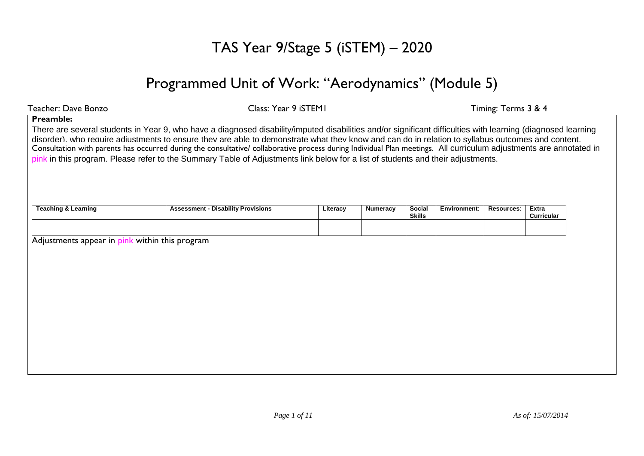# TAS Year 9/Stage 5 (iSTEM) – 2020

# Programmed Unit of Work: "Aerodynamics" (Module 5)

| Teacher: Dave Bonzo                            | Class: Year 9 iSTEM1                                                                                                                                                                                                                                                                                                                                                                                                                                                                                                                                                                                                       |          | Timing: Terms 3 & 4 |                                |              |            |                            |  |
|------------------------------------------------|----------------------------------------------------------------------------------------------------------------------------------------------------------------------------------------------------------------------------------------------------------------------------------------------------------------------------------------------------------------------------------------------------------------------------------------------------------------------------------------------------------------------------------------------------------------------------------------------------------------------------|----------|---------------------|--------------------------------|--------------|------------|----------------------------|--|
| <b>Preamble:</b>                               | There are several students in Year 9, who have a diagnosed disability/imputed disabilities and/or significant difficulties with learning (diagnosed learning<br>disorder). who reauire adiustments to ensure thev are able to demonstrate what thev know and can do in relation to syllabus outcomes and content.<br>Consultation with parents has occurred during the consultative/ collaborative process during Individual Plan meetings. All curriculum adjustments are annotated in<br>pink in this program. Please refer to the Summary Table of Adjustments link below for a list of students and their adjustments. |          |                     |                                |              |            |                            |  |
| <b>Teaching &amp; Learning</b>                 | <b>Assessment - Disability Provisions</b>                                                                                                                                                                                                                                                                                                                                                                                                                                                                                                                                                                                  | Literacy | <b>Numeracy</b>     | <b>Social</b><br><b>Skills</b> | Environment: | Resources: | Extra<br><b>Curricular</b> |  |
| Adjustments appear in pink within this program |                                                                                                                                                                                                                                                                                                                                                                                                                                                                                                                                                                                                                            |          |                     |                                |              |            |                            |  |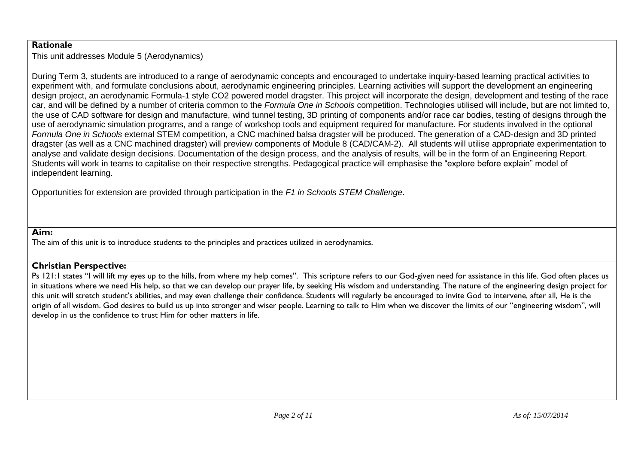#### **Rationale**

This unit addresses Module 5 (Aerodynamics)

During Term 3, students are introduced to a range of aerodynamic concepts and encouraged to undertake inquiry-based learning practical activities to experiment with, and formulate conclusions about, aerodynamic engineering principles. Learning activities will support the development an engineering design project, an aerodynamic Formula-1 style CO2 powered model dragster. This project will incorporate the design, development and testing of the race car, and will be defined by a number of criteria common to the *Formula One in Schools* competition. Technologies utilised will include, but are not limited to, the use of CAD software for design and manufacture, wind tunnel testing, 3D printing of components and/or race car bodies, testing of designs through the use of aerodynamic simulation programs, and a range of workshop tools and equipment required for manufacture. For students involved in the optional *Formula One in Schools* external STEM competition, a CNC machined balsa dragster will be produced. The generation of a CAD-design and 3D printed dragster (as well as a CNC machined dragster) will preview components of Module 8 (CAD/CAM-2). All students will utilise appropriate experimentation to analyse and validate design decisions. Documentation of the design process, and the analysis of results, will be in the form of an Engineering Report. Students will work in teams to capitalise on their respective strengths. Pedagogical practice will emphasise the "explore before explain" model of independent learning.

Opportunities for extension are provided through participation in the *F1 in Schools STEM Challenge*.

#### **Aim:**

The aim of this unit is to introduce students to the principles and practices utilized in aerodynamics.

#### **Christian Perspective:**

Ps 121:1 states "I will lift my eyes up to the hills, from where my help comes". This scripture refers to our God-given need for assistance in this life. God often places us in situations where we need His help, so that we can develop our prayer life, by seeking His wisdom and understanding. The nature of the engineering design project for this unit will stretch student's abilities, and may even challenge their confidence. Students will regularly be encouraged to invite God to intervene, after all, He is the origin of all wisdom. God desires to build us up into stronger and wiser people. Learning to talk to Him when we discover the limits of our "engineering wisdom", will develop in us the confidence to trust Him for other matters in life.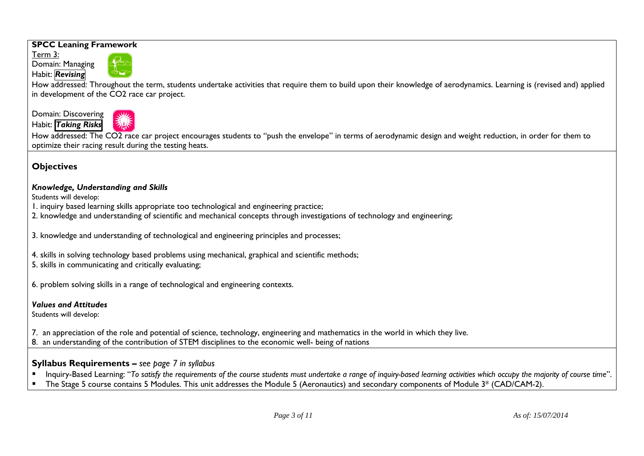#### **SPCC Leaning Framework**

Term 3: Domain: Managing

Habit: *Revising*



How addressed: Throughout the term, students undertake activities that require them to build upon their knowledge of aerodynamics. Learning is (revised and) applied in development of the CO2 race car project.

Domain: Discovering Habit: *Taking Risks*



How addressed: The CO2 race car project encourages students to "push the envelope" in terms of aerodynamic design and weight reduction, in order for them to optimize their racing result during the testing heats.

### **Objectives**

#### *Knowledge, Understanding and Skills*

Students will develop:

- 1. inquiry based learning skills appropriate too technological and engineering practice;
- 2. knowledge and understanding of scientific and mechanical concepts through investigations of technology and engineering;

3. knowledge and understanding of technological and engineering principles and processes;

4. skills in solving technology based problems using mechanical, graphical and scientific methods;

5. skills in communicating and critically evaluating;

6. problem solving skills in a range of technological and engineering contexts.

#### *Values and Attitudes*

Students will develop:

7. an appreciation of the role and potential of science, technology, engineering and mathematics in the world in which they live.

8. an understanding of the contribution of STEM disciplines to the economic well- being of nations

### **Syllabus Requirements –** *see page 7 in syllabus*

- Inquiry-Based Learning: "*To satisfy the requirements of the course students must undertake a range of inquiry-based learning activities which occupy the majority of course time*".
- The Stage 5 course contains 5 Modules. This unit addresses the Module 5 (Aeronautics) and secondary components of Module 3\* (CAD/CAM-2).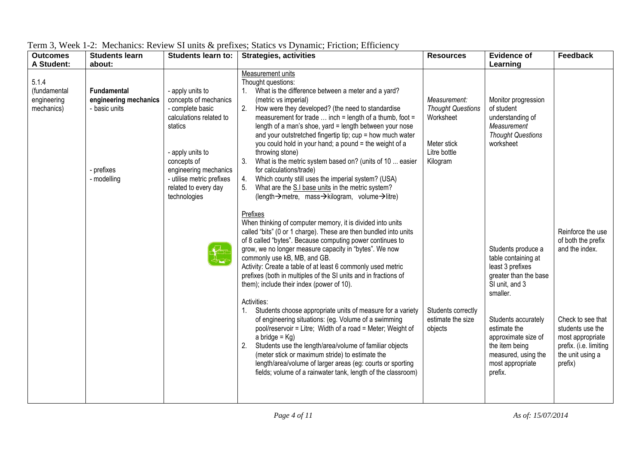| <b>Outcomes</b>                                    | <b>Students learn</b>                                                                     | <b>Students learn to:</b>                                                                                                                                                                                                            | <b>Strategies, activities</b>                                                                                                                                                                                                                                                                                                                                                                                                                                                                                                                                                                                                                                                                                                                                                                                                                                                                                                                              | <b>Resources</b>                                                                                 | <b>Evidence of</b>                                                                                                                                                                                                                                         | Feedback                                                                                                                                                                        |
|----------------------------------------------------|-------------------------------------------------------------------------------------------|--------------------------------------------------------------------------------------------------------------------------------------------------------------------------------------------------------------------------------------|------------------------------------------------------------------------------------------------------------------------------------------------------------------------------------------------------------------------------------------------------------------------------------------------------------------------------------------------------------------------------------------------------------------------------------------------------------------------------------------------------------------------------------------------------------------------------------------------------------------------------------------------------------------------------------------------------------------------------------------------------------------------------------------------------------------------------------------------------------------------------------------------------------------------------------------------------------|--------------------------------------------------------------------------------------------------|------------------------------------------------------------------------------------------------------------------------------------------------------------------------------------------------------------------------------------------------------------|---------------------------------------------------------------------------------------------------------------------------------------------------------------------------------|
| A Student:                                         | about:                                                                                    |                                                                                                                                                                                                                                      |                                                                                                                                                                                                                                                                                                                                                                                                                                                                                                                                                                                                                                                                                                                                                                                                                                                                                                                                                            |                                                                                                  | Learning                                                                                                                                                                                                                                                   |                                                                                                                                                                                 |
| 5.1.4<br>(fundamental<br>engineering<br>mechanics) | <b>Fundamental</b><br>engineering mechanics<br>- basic units<br>- prefixes<br>- modelling | - apply units to<br>concepts of mechanics<br>- complete basic<br>calculations related to<br>statics<br>- apply units to<br>concepts of<br>engineering mechanics<br>- utilise metric prefixes<br>related to every day<br>technologies | Measurement units<br>Thought questions:<br>What is the difference between a meter and a yard?<br>(metric vs imperial)<br>2.<br>How were they developed? (the need to standardise<br>measurement for trade $\dots$ inch = length of a thumb, foot =<br>length of a man's shoe, yard = length between your nose<br>and your outstretched fingertip tip; cup = how much water<br>you could hold in your hand; a pound = the weight of a<br>throwing stone)<br>3.<br>What is the metric system based on? (units of 10  easier<br>for calculations/trade)<br>Which county still uses the imperial system? (USA)<br>4.<br>What are the S.I base units in the metric system?<br>(length→metre, mass→kilogram, volume→litre)                                                                                                                                                                                                                                       | Measurement:<br><b>Thought Questions</b><br>Worksheet<br>Meter stick<br>Litre bottle<br>Kilogram | Monitor progression<br>of student<br>understanding of<br>Measurement<br><b>Thought Questions</b><br>worksheet                                                                                                                                              |                                                                                                                                                                                 |
|                                                    |                                                                                           |                                                                                                                                                                                                                                      | Prefixes<br>When thinking of computer memory, it is divided into units<br>called "bits" (0 or 1 charge). These are then bundled into units<br>of 8 called "bytes". Because computing power continues to<br>grow, we no longer measure capacity in "bytes". We now<br>commonly use kB, MB, and GB.<br>Activity: Create a table of at least 6 commonly used metric<br>prefixes (both in multiples of the SI units and in fractions of<br>them); include their index (power of 10).<br>Activities:<br>Students choose appropriate units of measure for a variety<br>of engineering situations: (eg. Volume of a swimming<br>pool/reservoir = Litre; Width of a road = Meter; Weight of<br>a bridge = $Kg$ )<br>Students use the length/area/volume of familiar objects<br>2.<br>(meter stick or maximum stride) to estimate the<br>length/area/volume of larger areas (eg: courts or sporting<br>fields; volume of a rainwater tank, length of the classroom) | Students correctly<br>estimate the size<br>objects                                               | Students produce a<br>table containing at<br>least 3 prefixes<br>greater than the base<br>SI unit, and 3<br>smaller.<br>Students accurately<br>estimate the<br>approximate size of<br>the item being<br>measured, using the<br>most appropriate<br>prefix. | Reinforce the use<br>of both the prefix<br>and the index.<br>Check to see that<br>students use the<br>most appropriate<br>prefix. (i.e. limiting<br>the unit using a<br>prefix) |

Term 3, Week 1-2: Mechanics: Review SI units & prefixes; Statics vs Dynamic; Friction; Efficiency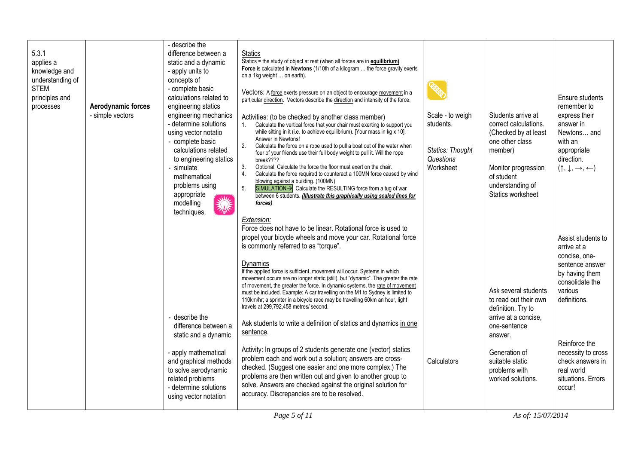| 5.3.1<br>applies a<br>knowledge and<br>understanding of<br><b>STEM</b><br>principles and<br>processes | Aerodynamic forces<br>- simple vectors | - describe the<br>difference between a<br>static and a dynamic<br>- apply units to<br>concepts of<br>- complete basic<br>calculations related to<br>engineering statics<br>engineering mechanics<br>- determine solutions<br>using vector notatio<br>- complete basic<br>calculations related<br>to engineering statics<br>simulate<br>mathematical<br>problems using<br>appropriate<br><b>We</b><br>modelling<br>美<br>techniques. | <b>Statics</b><br>Statics = the study of object at rest (when all forces are in <b>equilibrium)</b><br>Force is calculated in Newtons (1/10th of a kilogram  the force gravity exerts<br>on a 1kg weight  on earth).<br>Vectors: A force exerts pressure on an object to encourage movement in a<br>particular direction. Vectors describe the direction and intensity of the force.<br>Activities: (to be checked by another class member)<br>1. Calculate the vertical force that your chair must exerting to support you<br>while sitting in it (i.e. to achieve equilibrium). [Your mass in kg x 10].<br>Answer in Newtons!<br>2 <sub>1</sub><br>Calculate the force on a rope used to pull a boat out of the water when<br>four of your friends use their full body weight to pull it. Will the rope<br>break????<br>3.<br>Optional: Calculate the force the floor must exert on the chair.<br>$\overline{4}$ .<br>Calculate the force required to counteract a 100MN force caused by wind<br>blowing against a building. (100MN)<br>5.<br>SIMULATION > Calculate the RESULTING force from a tug of war<br>between 6 students. (Illustrate this graphically using scaled lines for<br>forces) | Scale - to weigh<br>students.<br>Statics: Thought<br>Questions<br>Worksheet | Students arrive at<br>correct calculations.<br>(Checked by at least<br>one other class<br>member)<br>Monitor progression<br>of student<br>understanding of<br>Statics worksheet                  | Ensure students<br>remember to<br>express their<br>answer in<br>Newtons and<br>with an<br>appropriate<br>direction.<br>$(\uparrow, \downarrow, \rightarrow, \leftarrow)$                                                                       |
|-------------------------------------------------------------------------------------------------------|----------------------------------------|------------------------------------------------------------------------------------------------------------------------------------------------------------------------------------------------------------------------------------------------------------------------------------------------------------------------------------------------------------------------------------------------------------------------------------|----------------------------------------------------------------------------------------------------------------------------------------------------------------------------------------------------------------------------------------------------------------------------------------------------------------------------------------------------------------------------------------------------------------------------------------------------------------------------------------------------------------------------------------------------------------------------------------------------------------------------------------------------------------------------------------------------------------------------------------------------------------------------------------------------------------------------------------------------------------------------------------------------------------------------------------------------------------------------------------------------------------------------------------------------------------------------------------------------------------------------------------------------------------------------------------------------|-----------------------------------------------------------------------------|--------------------------------------------------------------------------------------------------------------------------------------------------------------------------------------------------|------------------------------------------------------------------------------------------------------------------------------------------------------------------------------------------------------------------------------------------------|
|                                                                                                       |                                        | describe the<br>difference between a<br>static and a dynamic<br>- apply mathematical<br>and graphical methods<br>to solve aerodynamic<br>related problems<br>- determine solutions<br>using vector notation                                                                                                                                                                                                                        | Extension:<br>Force does not have to be linear. Rotational force is used to<br>propel your bicycle wheels and move your car. Rotational force<br>is commonly referred to as "torque".<br>Dynamics<br>If the applied force is sufficient, movement will occur. Systems in which<br>movement occurs are no longer static (still), but "dynamic". The greater the rate<br>of movement, the greater the force. In dynamic systems, the rate of movement<br>must be included. Example: A car travelling on the M1 to Sydney is limited to<br>110km/hr; a sprinter in a bicycle race may be travelling 60km an hour, light<br>travels at 299,792,458 metres/ second.<br>Ask students to write a definition of statics and dynamics in one<br>sentence.<br>Activity: In groups of 2 students generate one (vector) statics<br>problem each and work out a solution; answers are cross-<br>checked. (Suggest one easier and one more complex.) The<br>problems are then written out and given to another group to<br>solve. Answers are checked against the original solution for<br>accuracy. Discrepancies are to be resolved.                                                                           | Calculators                                                                 | Ask several students<br>to read out their own<br>definition. Try to<br>arrive at a concise,<br>one-sentence<br>answer.<br>Generation of<br>suitable static<br>problems with<br>worked solutions. | Assist students to<br>arrive at a<br>concise, one-<br>sentence answer<br>by having them<br>consolidate the<br>various<br>definitions.<br>Reinforce the<br>necessity to cross<br>check answers in<br>real world<br>situations. Errors<br>occur! |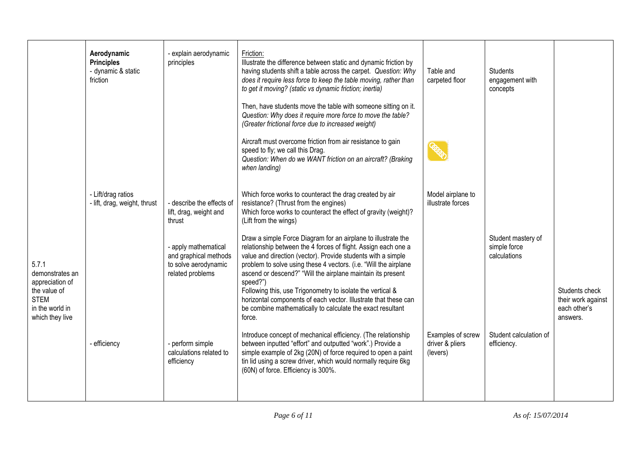|                                                                                                                  | Aerodynamic<br><b>Principles</b><br>- dynamic & static<br>friction | - explain aerodynamic<br>principles                                                       | Friction:<br>Illustrate the difference between static and dynamic friction by<br>having students shift a table across the carpet. Question: Why<br>does it require less force to keep the table moving, rather than<br>to get it moving? (static vs dynamic friction; inertia)                                                                                                                                                                                                                                                                          | Table and<br>carpeted floor                      | <b>Students</b><br>engagement with<br>concepts     |                                                                  |
|------------------------------------------------------------------------------------------------------------------|--------------------------------------------------------------------|-------------------------------------------------------------------------------------------|---------------------------------------------------------------------------------------------------------------------------------------------------------------------------------------------------------------------------------------------------------------------------------------------------------------------------------------------------------------------------------------------------------------------------------------------------------------------------------------------------------------------------------------------------------|--------------------------------------------------|----------------------------------------------------|------------------------------------------------------------------|
|                                                                                                                  |                                                                    |                                                                                           | Then, have students move the table with someone sitting on it.<br>Question: Why does it require more force to move the table?<br>(Greater frictional force due to increased weight)                                                                                                                                                                                                                                                                                                                                                                     |                                                  |                                                    |                                                                  |
|                                                                                                                  |                                                                    |                                                                                           | Aircraft must overcome friction from air resistance to gain<br>speed to fly; we call this Drag.<br>Question: When do we WANT friction on an aircraft? (Braking<br>when landing)                                                                                                                                                                                                                                                                                                                                                                         |                                                  |                                                    |                                                                  |
|                                                                                                                  | - Lift/drag ratios<br>- lift, drag, weight, thrust                 | - describe the effects of<br>lift, drag, weight and<br>thrust                             | Which force works to counteract the drag created by air<br>resistance? (Thrust from the engines)<br>Which force works to counteract the effect of gravity (weight)?<br>(Lift from the wings)                                                                                                                                                                                                                                                                                                                                                            | Model airplane to<br>illustrate forces           |                                                    |                                                                  |
| 5.7.1<br>demonstrates an<br>appreciation of<br>the value of<br><b>STEM</b><br>in the world in<br>which they live |                                                                    | - apply mathematical<br>and graphical methods<br>to solve aerodynamic<br>related problems | Draw a simple Force Diagram for an airplane to illustrate the<br>relationship between the 4 forces of flight. Assign each one a<br>value and direction (vector). Provide students with a simple<br>problem to solve using these 4 vectors. (i.e. "Will the airplane<br>ascend or descend?" "Will the airplane maintain its present<br>speed?")<br>Following this, use Trigonometry to isolate the vertical &<br>horizontal components of each vector. Illustrate that these can<br>be combine mathematically to calculate the exact resultant<br>force. |                                                  | Student mastery of<br>simple force<br>calculations | Students check<br>their work against<br>each other's<br>answers. |
|                                                                                                                  | - efficiency                                                       | - perform simple<br>calculations related to<br>efficiency                                 | Introduce concept of mechanical efficiency. (The relationship<br>between inputted "effort" and outputted "work".) Provide a<br>simple example of 2kg (20N) of force required to open a paint<br>tin lid using a screw driver, which would normally require 6kg<br>(60N) of force. Efficiency is 300%.                                                                                                                                                                                                                                                   | Examples of screw<br>driver & pliers<br>(levers) | Student calculation of<br>efficiency.              |                                                                  |
|                                                                                                                  |                                                                    |                                                                                           |                                                                                                                                                                                                                                                                                                                                                                                                                                                                                                                                                         |                                                  |                                                    |                                                                  |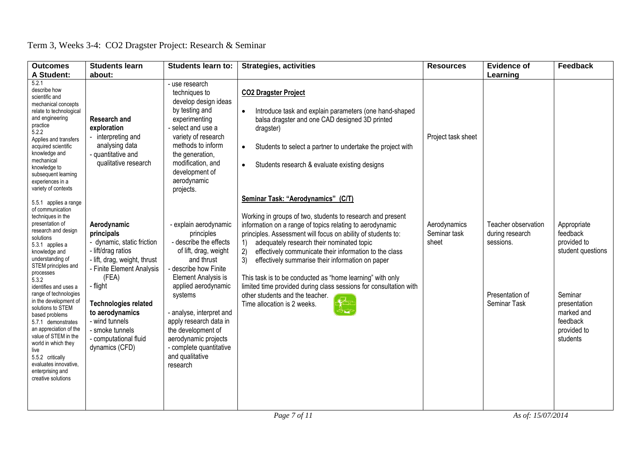|  | Term 3, Weeks 3-4: CO2 Dragster Project: Research & Seminar |
|--|-------------------------------------------------------------|
|--|-------------------------------------------------------------|

| <b>Outcomes</b><br>A Student:                                                                                                                                                                                                                                                                                                                                                                                                                                                                                                              | <b>Students learn</b><br>about:                                                                                                                                                                                                                                                                   | <b>Students learn to:</b>                                                                                                                                                                                                                                                                                                                          | <b>Strategies, activities</b>                                                                                                                                                                                                                                                                                                                                                                                                                                                                                                                                                                                 | <b>Resources</b>                      | <b>Evidence of</b><br>Learning                                                         | <b>Feedback</b>                                                                                                                             |
|--------------------------------------------------------------------------------------------------------------------------------------------------------------------------------------------------------------------------------------------------------------------------------------------------------------------------------------------------------------------------------------------------------------------------------------------------------------------------------------------------------------------------------------------|---------------------------------------------------------------------------------------------------------------------------------------------------------------------------------------------------------------------------------------------------------------------------------------------------|----------------------------------------------------------------------------------------------------------------------------------------------------------------------------------------------------------------------------------------------------------------------------------------------------------------------------------------------------|---------------------------------------------------------------------------------------------------------------------------------------------------------------------------------------------------------------------------------------------------------------------------------------------------------------------------------------------------------------------------------------------------------------------------------------------------------------------------------------------------------------------------------------------------------------------------------------------------------------|---------------------------------------|----------------------------------------------------------------------------------------|---------------------------------------------------------------------------------------------------------------------------------------------|
| 5.2.1<br>describe how<br>scientific and<br>mechanical concepts<br>relate to technological<br>and engineering<br>practice<br>5.2.2<br>Applies and transfers<br>acquired scientific<br>knowledge and<br>mechanical<br>knowledge to<br>subsequent learning<br>experiences in a<br>variety of contexts                                                                                                                                                                                                                                         | <b>Research and</b><br>exploration<br>- interpreting and<br>analysing data<br>- quantitative and<br>qualitative research                                                                                                                                                                          | - use research<br>techniques to<br>develop design ideas<br>by testing and<br>experimenting<br>select and use a<br>variety of research<br>methods to inform<br>the generation,<br>modification, and<br>development of<br>aerodynamic<br>projects.                                                                                                   | <b>CO2 Dragster Project</b><br>Introduce task and explain parameters (one hand-shaped<br>$\bullet$<br>balsa dragster and one CAD designed 3D printed<br>dragster)<br>Students to select a partner to undertake the project with<br>$\bullet$<br>Students research & evaluate existing designs<br>$\bullet$                                                                                                                                                                                                                                                                                                    | Project task sheet                    |                                                                                        |                                                                                                                                             |
| 5.5.1 applies a range<br>of communication<br>techniques in the<br>presentation of<br>research and design<br>solutions<br>5.3.1 applies a<br>knowledge and<br>understanding of<br>STEM principles and<br>processes<br>5.3.2<br>identifies and uses a<br>range of technologies<br>in the development of<br>solutions to STEM<br>based problems<br>5.7.1 demonstrates<br>an appreciation of the<br>value of STEM in the<br>world in which they<br>live<br>5.5.2 critically<br>evaluates innovative,<br>enterprising and<br>creative solutions | Aerodynamic<br>principals<br>- dynamic, static friction<br>- lift/drag ratios<br>- lift, drag, weight, thrust<br>- Finite Element Analysis<br>(FEA)<br>- flight<br><b>Technologies related</b><br>to aerodynamics<br>- wind tunnels<br>- smoke tunnels<br>- computational fluid<br>dynamics (CFD) | - explain aerodynamic<br>principles<br>- describe the effects<br>of lift, drag, weight<br>and thrust<br>describe how Finite<br>Element Analysis is<br>applied aerodynamic<br>systems<br>- analyse, interpret and<br>apply research data in<br>the development of<br>aerodynamic projects<br>- complete quantitative<br>and qualitative<br>research | Seminar Task: "Aerodynamics" (C/T)<br>Working in groups of two, students to research and present<br>information on a range of topics relating to aerodynamic<br>principles. Assessment will focus on ability of students to:<br>adequately research their nominated topic<br>1)<br>2)<br>effectively communicate their information to the class<br>3)<br>effectively summarise their information on paper<br>This task is to be conducted as "home learning" with only<br>limited time provided during class sessions for consultation with<br>other students and the teacher.<br>Time allocation is 2 weeks. | Aerodynamics<br>Seminar task<br>sheet | Teacher observation<br>during research<br>sessions.<br>Presentation of<br>Seminar Task | Appropriate<br>feedback<br>provided to<br>student questions<br>Seminar<br>presentation<br>marked and<br>feedback<br>provided to<br>students |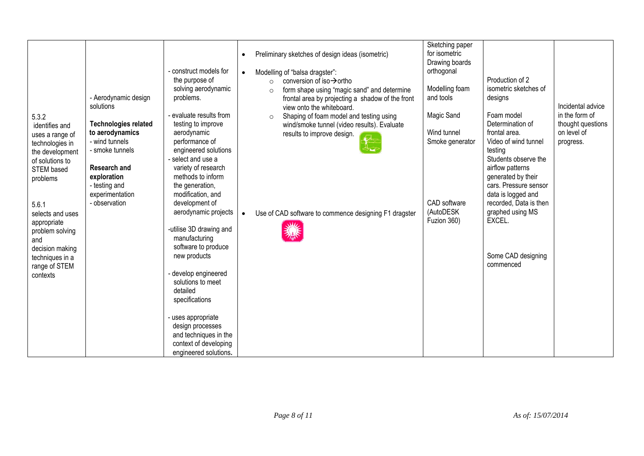| 5.3.2<br>identifies and<br>uses a range of<br>technologies in<br>the development<br>of solutions to<br>STEM based<br>problems<br>5.6.1<br>selects and uses<br>appropriate<br>problem solving<br>and<br>decision making<br>techniques in a<br>range of STEM<br>contexts | - Aerodynamic design<br>solutions<br><b>Technologies related</b><br>to aerodynamics<br>- wind tunnels<br>- smoke tunnels<br><b>Research and</b><br>exploration<br>- testing and<br>experimentation<br>- observation | - construct models for<br>the purpose of<br>solving aerodynamic<br>problems.<br>evaluate results from<br>testing to improve<br>aerodynamic<br>performance of<br>engineered solutions<br>select and use a<br>variety of research<br>methods to inform<br>the generation,<br>modification, and<br>development of<br>aerodynamic projects<br>-utilise 3D drawing and<br>manufacturing<br>software to produce<br>new products<br>develop engineered<br>solutions to meet<br>detailed<br>specifications | $\bullet$<br>$\bullet$<br>$\bullet$ | Preliminary sketches of design ideas (isometric)<br>Modelling of "balsa dragster":<br>conversion of iso $\rightarrow$ ortho<br>$\Omega$<br>form shape using "magic sand" and determine<br>$\circ$<br>frontal area by projecting a shadow of the front<br>view onto the whiteboard.<br>Shaping of foam model and testing using<br>$\circ$<br>wind/smoke tunnel (video results). Evaluate<br>results to improve design.<br>Use of CAD software to commence designing F1 dragster | Sketching paper<br>for isometric<br>Drawing boards<br>orthogonal<br>Modelling foam<br>and tools<br>Magic Sand<br>Wind tunnel<br>Smoke generator<br>CAD software<br>(AutoDESK<br>Fuzion 360) | Production of 2<br>isometric sketches of<br>designs<br>Foam model<br>Determination of<br>frontal area.<br>Video of wind tunnel<br>testing<br>Students observe the<br>airflow patterns<br>generated by their<br>cars. Pressure sensor<br>data is logged and<br>recorded, Data is then<br>graphed using MS<br>EXCEL.<br>Some CAD designing<br>commenced | Incidental advice<br>in the form of<br>thought questions<br>on level of<br>progress. |
|------------------------------------------------------------------------------------------------------------------------------------------------------------------------------------------------------------------------------------------------------------------------|---------------------------------------------------------------------------------------------------------------------------------------------------------------------------------------------------------------------|----------------------------------------------------------------------------------------------------------------------------------------------------------------------------------------------------------------------------------------------------------------------------------------------------------------------------------------------------------------------------------------------------------------------------------------------------------------------------------------------------|-------------------------------------|--------------------------------------------------------------------------------------------------------------------------------------------------------------------------------------------------------------------------------------------------------------------------------------------------------------------------------------------------------------------------------------------------------------------------------------------------------------------------------|---------------------------------------------------------------------------------------------------------------------------------------------------------------------------------------------|-------------------------------------------------------------------------------------------------------------------------------------------------------------------------------------------------------------------------------------------------------------------------------------------------------------------------------------------------------|--------------------------------------------------------------------------------------|
|                                                                                                                                                                                                                                                                        |                                                                                                                                                                                                                     | uses appropriate<br>design processes<br>and techniques in the<br>context of developing<br>engineered solutions.                                                                                                                                                                                                                                                                                                                                                                                    |                                     |                                                                                                                                                                                                                                                                                                                                                                                                                                                                                |                                                                                                                                                                                             |                                                                                                                                                                                                                                                                                                                                                       |                                                                                      |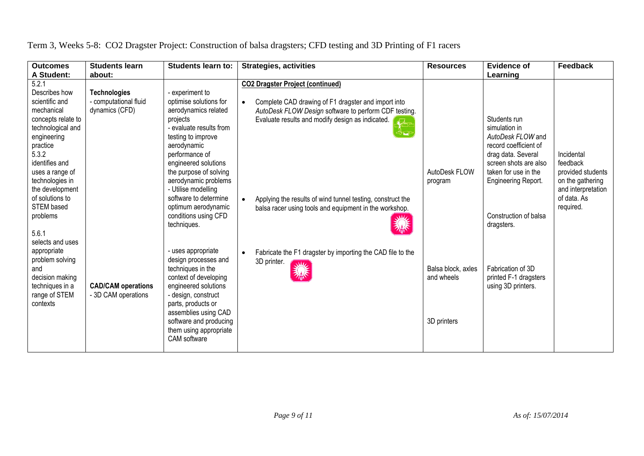| <b>Outcomes</b><br>A Student:                                                                                                                                                                                                                                                              | <b>Students learn</b><br>about:                                | <b>Students learn to:</b>                                                                                                                                                                                                                                                                                                                               | <b>Strategies, activities</b>                                                                                                                                                                                                                                                                                                                                 | <b>Resources</b>                                | <b>Evidence of</b><br>Learning                                                                                                                                                                                   | Feedback                                                                                                          |
|--------------------------------------------------------------------------------------------------------------------------------------------------------------------------------------------------------------------------------------------------------------------------------------------|----------------------------------------------------------------|---------------------------------------------------------------------------------------------------------------------------------------------------------------------------------------------------------------------------------------------------------------------------------------------------------------------------------------------------------|---------------------------------------------------------------------------------------------------------------------------------------------------------------------------------------------------------------------------------------------------------------------------------------------------------------------------------------------------------------|-------------------------------------------------|------------------------------------------------------------------------------------------------------------------------------------------------------------------------------------------------------------------|-------------------------------------------------------------------------------------------------------------------|
| 5.2.1<br>Describes how<br>scientific and<br>mechanical<br>concepts relate to<br>technological and<br>engineering<br>practice<br>5.3.2<br>identifies and<br>uses a range of<br>technologies in<br>the development<br>of solutions to<br>STEM based<br>problems<br>5.6.1<br>selects and uses | <b>Technologies</b><br>- computational fluid<br>dynamics (CFD) | - experiment to<br>optimise solutions for<br>aerodynamics related<br>projects<br>- evaluate results from<br>testing to improve<br>aerodynamic<br>performance of<br>engineered solutions<br>the purpose of solving<br>aerodynamic problems<br>- Utilise modelling<br>software to determine<br>optimum aerodynamic<br>conditions using CFD<br>techniques. | <b>CO2 Dragster Project (continued)</b><br>Complete CAD drawing of F1 dragster and import into<br>$\bullet$<br>AutoDesk FLOW Design software to perform CDF testing.<br>Evaluate results and modify design as indicated.<br>Applying the results of wind tunnel testing, construct the<br>$\bullet$<br>balsa racer using tools and equipment in the workshop. | AutoDesk FLOW<br>program                        | Students run<br>simulation in<br>AutoDesk FLOW and<br>record coefficient of<br>drag data. Several<br>screen shots are also<br>taken for use in the<br>Engineering Report.<br>Construction of balsa<br>dragsters. | Incidental<br>feedback<br>provided students<br>on the gathering<br>and interpretation<br>of data. As<br>required. |
| appropriate<br>problem solving<br>and<br>decision making<br>techniques in a<br>range of STEM<br>contexts                                                                                                                                                                                   | <b>CAD/CAM operations</b><br>- 3D CAM operations               | - uses appropriate<br>design processes and<br>techniques in the<br>context of developing<br>engineered solutions<br>- design, construct<br>parts, products or<br>assemblies using CAD<br>software and producing<br>them using appropriate<br>CAM software                                                                                               | Fabricate the F1 dragster by importing the CAD file to the<br>$\bullet$<br>3D printer.<br>We                                                                                                                                                                                                                                                                  | Balsa block, axles<br>and wheels<br>3D printers | Fabrication of 3D<br>printed F-1 dragsters<br>using 3D printers.                                                                                                                                                 |                                                                                                                   |

## Term 3, Weeks 5-8: CO2 Dragster Project: Construction of balsa dragsters; CFD testing and 3D Printing of F1 racers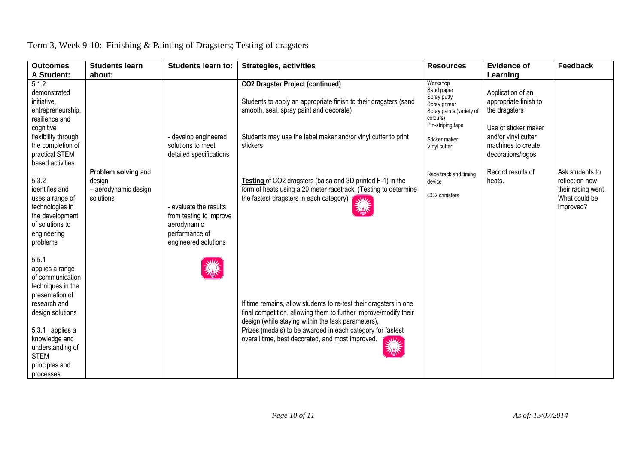| <b>Outcomes</b><br>A Student:                                                                                                                                                                                                  | <b>Students learn</b><br>about:                                    | <b>Students learn to:</b>                                                                                  | <b>Strategies, activities</b>                                                                                                                                                                                                                                                                                      | <b>Resources</b>                                                                                                   | <b>Evidence of</b><br>Learning                                                      | <b>Feedback</b>                                                                       |
|--------------------------------------------------------------------------------------------------------------------------------------------------------------------------------------------------------------------------------|--------------------------------------------------------------------|------------------------------------------------------------------------------------------------------------|--------------------------------------------------------------------------------------------------------------------------------------------------------------------------------------------------------------------------------------------------------------------------------------------------------------------|--------------------------------------------------------------------------------------------------------------------|-------------------------------------------------------------------------------------|---------------------------------------------------------------------------------------|
| 5.1.2<br>demonstrated<br>initiative,<br>entrepreneurship,<br>resilience and<br>cognitive                                                                                                                                       |                                                                    |                                                                                                            | <b>CO2 Dragster Project (continued)</b><br>Students to apply an appropriate finish to their dragsters (sand<br>smooth, seal, spray paint and decorate)                                                                                                                                                             | Workshop<br>Sand paper<br>Spray putty<br>Spray primer<br>Spray paints (variety of<br>colours)<br>Pin-striping tape | Application of an<br>appropriate finish to<br>the dragsters<br>Use of sticker maker |                                                                                       |
| flexibility through<br>the completion of<br>practical STEM<br>based activities                                                                                                                                                 |                                                                    | - develop engineered<br>solutions to meet<br>detailed specifications                                       | Students may use the label maker and/or vinyl cutter to print<br>stickers                                                                                                                                                                                                                                          | Sticker maker<br>Vinyl cutter                                                                                      | and/or vinyl cutter<br>machines to create<br>decorations/logos                      |                                                                                       |
| 5.3.2<br>identifies and<br>uses a range of<br>technologies in<br>the development<br>of solutions to<br>engineering<br>problems                                                                                                 | Problem solving and<br>design<br>- aerodynamic design<br>solutions | - evaluate the results<br>from testing to improve<br>aerodynamic<br>performance of<br>engineered solutions | Testing of CO2 dragsters (balsa and 3D printed F-1) in the<br>form of heats using a 20 meter racetrack. (Testing to determine<br>the fastest dragsters in each category)                                                                                                                                           | Race track and timing<br>device<br>CO <sub>2</sub> canisters                                                       | Record results of<br>heats.                                                         | Ask students to<br>reflect on how<br>their racing went.<br>What could be<br>improved? |
| 5.5.1<br>applies a range<br>of communication<br>techniques in the<br>presentation of<br>research and<br>design solutions<br>5.3.1 applies a<br>knowledge and<br>understanding of<br><b>STEM</b><br>principles and<br>processes |                                                                    |                                                                                                            | If time remains, allow students to re-test their dragsters in one<br>final competition, allowing them to further improve/modify their<br>design (while staying within the task parameters),<br>Prizes (medals) to be awarded in each category for fastest<br>overall time, best decorated, and most improved.<br>業 |                                                                                                                    |                                                                                     |                                                                                       |

# Term 3, Week 9-10: Finishing & Painting of Dragsters; Testing of dragsters